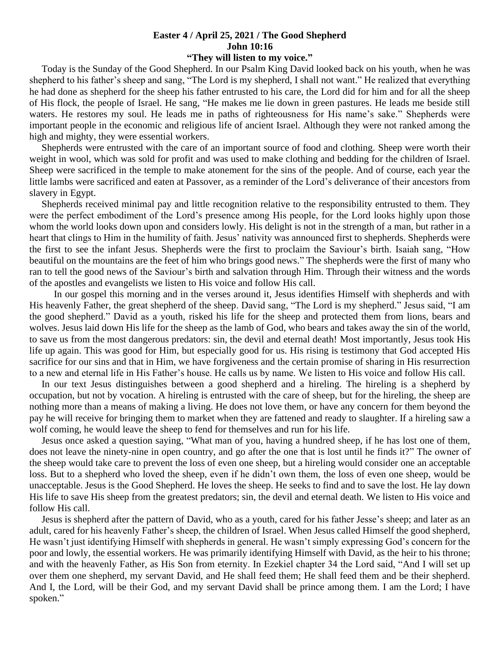## **Easter 4 / April 25, 2021 / The Good Shepherd John 10:16**

## **"They will listen to my voice."**

 Today is the Sunday of the Good Shepherd. In our Psalm King David looked back on his youth, when he was shepherd to his father's sheep and sang, "The Lord is my shepherd, I shall not want." He realized that everything he had done as shepherd for the sheep his father entrusted to his care, the Lord did for him and for all the sheep of His flock, the people of Israel. He sang, "He makes me lie down in green pastures. He leads me beside still waters. He restores my soul. He leads me in paths of righteousness for His name's sake." Shepherds were important people in the economic and religious life of ancient Israel. Although they were not ranked among the high and mighty, they were essential workers.

 Shepherds were entrusted with the care of an important source of food and clothing. Sheep were worth their weight in wool, which was sold for profit and was used to make clothing and bedding for the children of Israel. Sheep were sacrificed in the temple to make atonement for the sins of the people. And of course, each year the little lambs were sacrificed and eaten at Passover, as a reminder of the Lord's deliverance of their ancestors from slavery in Egypt.

 Shepherds received minimal pay and little recognition relative to the responsibility entrusted to them. They were the perfect embodiment of the Lord's presence among His people, for the Lord looks highly upon those whom the world looks down upon and considers lowly. His delight is not in the strength of a man, but rather in a heart that clings to Him in the humility of faith. Jesus' nativity was announced first to shepherds. Shepherds were the first to see the infant Jesus. Shepherds were the first to proclaim the Saviour's birth. Isaiah sang, "How beautiful on the mountains are the feet of him who brings good news." The shepherds were the first of many who ran to tell the good news of the Saviour's birth and salvation through Him. Through their witness and the words of the apostles and evangelists we listen to His voice and follow His call.

 In our gospel this morning and in the verses around it, Jesus identifies Himself with shepherds and with His heavenly Father, the great shepherd of the sheep. David sang, "The Lord is my shepherd." Jesus said, "I am the good shepherd." David as a youth, risked his life for the sheep and protected them from lions, bears and wolves. Jesus laid down His life for the sheep as the lamb of God, who bears and takes away the sin of the world, to save us from the most dangerous predators: sin, the devil and eternal death! Most importantly, Jesus took His life up again. This was good for Him, but especially good for us. His rising is testimony that God accepted His sacrifice for our sins and that in Him, we have forgiveness and the certain promise of sharing in His resurrection to a new and eternal life in His Father's house. He calls us by name. We listen to His voice and follow His call.

 In our text Jesus distinguishes between a good shepherd and a hireling. The hireling is a shepherd by occupation, but not by vocation. A hireling is entrusted with the care of sheep, but for the hireling, the sheep are nothing more than a means of making a living. He does not love them, or have any concern for them beyond the pay he will receive for bringing them to market when they are fattened and ready to slaughter. If a hireling saw a wolf coming, he would leave the sheep to fend for themselves and run for his life.

 Jesus once asked a question saying, "What man of you, having a hundred sheep, if he has lost one of them, does not leave the ninety-nine in open country, and go after the one that is lost until he finds it?" The owner of the sheep would take care to prevent the loss of even one sheep, but a hireling would consider one an acceptable loss. But to a shepherd who loved the sheep, even if he didn't own them, the loss of even one sheep, would be unacceptable. Jesus is the Good Shepherd. He loves the sheep. He seeks to find and to save the lost. He lay down His life to save His sheep from the greatest predators; sin, the devil and eternal death. We listen to His voice and follow His call.

 Jesus is shepherd after the pattern of David, who as a youth, cared for his father Jesse's sheep; and later as an adult, cared for his heavenly Father's sheep, the children of Israel. When Jesus called Himself the good shepherd, He wasn't just identifying Himself with shepherds in general. He wasn't simply expressing God's concern for the poor and lowly, the essential workers. He was primarily identifying Himself with David, as the heir to his throne; and with the heavenly Father, as His Son from eternity. In Ezekiel chapter 34 the Lord said, "And I will set up over them one shepherd, my servant David, and He shall feed them; He shall feed them and be their shepherd. And I, the Lord, will be their God, and my servant David shall be prince among them. I am the Lord; I have spoken."